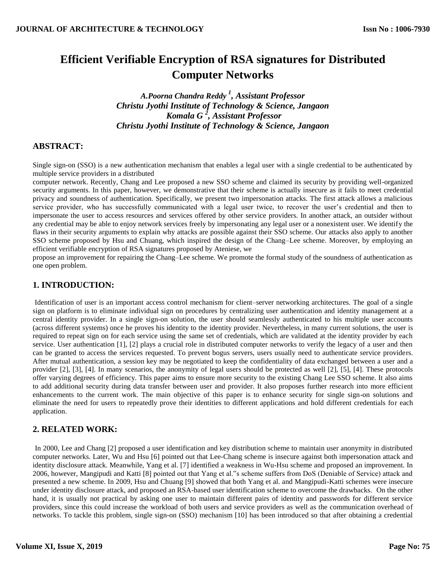# **Efficient Verifiable Encryption of RSA signatures for Distributed Computer Networks**

*A.Poorna Chandra Reddy <sup>1</sup> , Assistant Professor Christu Jyothi Institute of Technology & Science, Jangaon Komala G <sup>2</sup> , Assistant Professor Christu Jyothi Institute of Technology & Science, Jangaon*

# **ABSTRACT:**

Single sign-on (SSO) is a new authentication mechanism that enables a legal user with a single credential to be authenticated by multiple service providers in a distributed

computer network. Recently, Chang and Lee proposed a new SSO scheme and claimed its security by providing well-organized security arguments. In this paper, however, we demonstrative that their scheme is actually insecure as it fails to meet credential privacy and soundness of authentication. Specifically, we present two impersonation attacks. The first attack allows a malicious service provider, who has successfully communicated with a legal user twice, to recover the user's credential and then to impersonate the user to access resources and services offered by other service providers. In another attack, an outsider without any credential may be able to enjoy network services freely by impersonating any legal user or a nonexistent user. We identify the flaws in their security arguments to explain why attacks are possible against their SSO scheme. Our attacks also apply to another SSO scheme proposed by Hsu and Chuang, which inspired the design of the Chang–Lee scheme. Moreover, by employing an efficient verifiable encryption of RSA signatures proposed by Ateniese, we

propose an improvement for repairing the Chang–Lee scheme. We promote the formal study of the soundness of authentication as one open problem.

## **1. INTRODUCTION:**

Identification of user is an important access control mechanism for client–server networking architectures. The goal of a single sign on platform is to eliminate individual sign on procedures by centralizing user authentication and identity management at a central identity provider. In a single sign-on solution, the user should seamlessly authenticated to his multiple user accounts (across different systems) once he proves his identity to the identity provider. Nevertheless, in many current solutions, the user is required to repeat sign on for each service using the same set of credentials, which are validated at the identity provider by each service. User authentication [1], [2] plays a crucial role in distributed computer networks to verify the legacy of a user and then can be granted to access the services requested. To prevent bogus servers, users usually need to authenticate service providers. After mutual authentication, a session key may be negotiated to keep the confidentiality of data exchanged between a user and a provider [2], [3], [4]. In many scenarios, the anonymity of legal users should be protected as well [2], [5], [4]. These protocols offer varying degrees of efficiency. This paper aims to ensure more security to the existing Chang Lee SSO scheme. It also aims to add additional security during data transfer between user and provider. It also proposes further research into more efficient enhancements to the current work. The main objective of this paper is to enhance security for single sign-on solutions and eliminate the need for users to repeatedly prove their identities to different applications and hold different credentials for each application.

# **2. RELATED WORK:**

In 2000, Lee and Chang [2] proposed a user identification and key distribution scheme to maintain user anonymity in distributed computer networks. Later, Wu and Hsu [6] pointed out that Lee-Chang scheme is insecure against both impersonation attack and identity disclosure attack. Meanwhile, Yang et al. [7] identified a weakness in Wu-Hsu scheme and proposed an improvement. In 2006, however, Mangipudi and Katti [8] pointed out that Yang et al."s scheme suffers from DoS (Deniable of Service) attack and presented a new scheme. In 2009, Hsu and Chuang [9] showed that both Yang et al. and Mangipudi-Katti schemes were insecure under identity disclosure attack, and proposed an RSA-based user identification scheme to overcome the drawbacks. On the other hand, it is usually not practical by asking one user to maintain different pairs of identity and passwords for different service providers, since this could increase the workload of both users and service providers as well as the communication overhead of networks. To tackle this problem, single sign-on (SSO) mechanism [10] has been introduced so that after obtaining a credential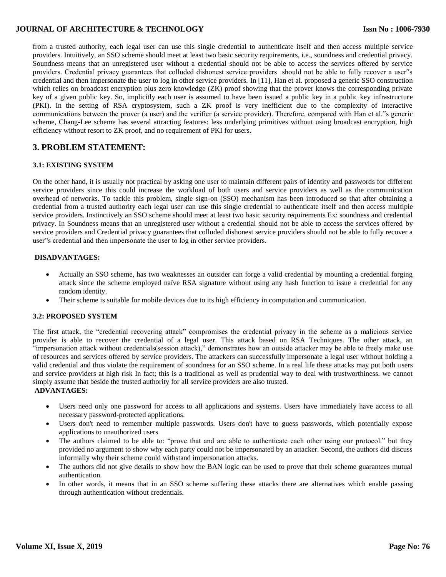### **JOURNAL OF ARCHITECTURE & TECHNOLOGY**

from a trusted authority, each legal user can use this single credential to authenticate itself and then access multiple service providers. Intuitively, an SSO scheme should meet at least two basic security requirements, i.e., soundness and credential privacy. Soundness means that an unregistered user without a credential should not be able to access the services offered by service providers. Credential privacy guarantees that colluded dishonest service providers should not be able to fully recover a user"s credential and then impersonate the user to log in other service providers. In [11], Han et al. proposed a generic SSO construction which relies on broadcast encryption plus zero knowledge (ZK) proof showing that the prover knows the corresponding private key of a given public key. So, implicitly each user is assumed to have been issued a public key in a public key infrastructure (PKI). In the setting of RSA cryptosystem, such a ZK proof is very inefficient due to the complexity of interactive communications between the prover (a user) and the verifier (a service provider). Therefore, compared with Han et al."s generic scheme, Chang-Lee scheme has several attracting features: less underlying primitives without using broadcast encryption, high efficiency without resort to ZK proof, and no requirement of PKI for users.

### **3. PROBLEM STATEMENT:**

#### **3.1: EXISTING SYSTEM**

On the other hand, it is usually not practical by asking one user to maintain different pairs of identity and passwords for different service providers since this could increase the workload of both users and service providers as well as the communication overhead of networks. To tackle this problem, single sign-on (SSO) mechanism has been introduced so that after obtaining a credential from a trusted authority each legal user can use this single credential to authenticate itself and then access multiple service providers. Instinctively an SSO scheme should meet at least two basic security requirements Ex: soundness and credential privacy. In Soundness means that an unregistered user without a credential should not be able to access the services offered by service providers and Credential privacy guarantees that colluded dishonest service providers should not be able to fully recover a user"s credential and then impersonate the user to log in other service providers.

### **DISADVANTAGES:**

- Actually an SSO scheme, has two weaknesses an outsider can forge a valid credential by mounting a credential forging attack since the scheme employed naïve RSA signature without using any hash function to issue a credential for any random identity.
- Their scheme is suitable for mobile devices due to its high efficiency in computation and communication.

#### **3.2: PROPOSED SYSTEM**

The first attack, the "credential recovering attack" compromises the credential privacy in the scheme as a malicious service provider is able to recover the credential of a legal user. This attack based on RSA Techniques. The other attack, an "impersonation attack without credentials(session attack)," demonstrates how an outside attacker may be able to freely make use of resources and services offered by service providers. The attackers can successfully impersonate a legal user without holding a valid credential and thus violate the requirement of soundness for an SSO scheme. In a real life these attacks may put both users and service providers at high risk In fact; this is a traditional as well as prudential way to deal with trustworthiness. we cannot simply assume that beside the trusted authority for all service providers are also trusted.

#### **ADVANTAGES:**

- Users need only one password for access to all applications and systems. Users have immediately have access to all necessary password-protected applications.
- Users don't need to remember multiple passwords. Users don't have to guess passwords, which potentially expose applications to unauthorized users
- The authors claimed to be able to: "prove that and are able to authenticate each other using our protocol." but they provided no argument to show why each party could not be impersonated by an attacker. Second, the authors did discuss informally why their scheme could withstand impersonation attacks.
- The authors did not give details to show how the BAN logic can be used to prove that their scheme guarantees mutual authentication.
- In other words, it means that in an SSO scheme suffering these attacks there are alternatives which enable passing through authentication without credentials.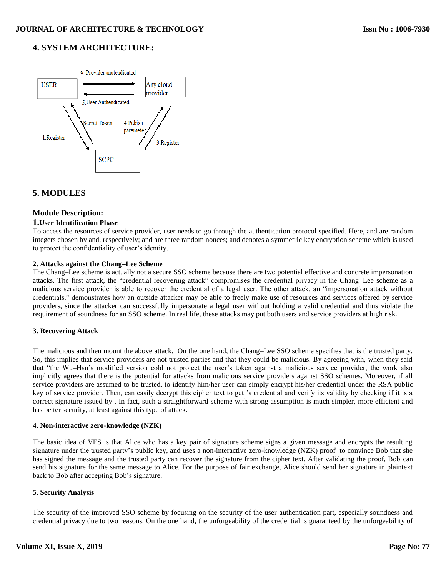## **4. SYSTEM ARCHITECTURE:**



## **5. MODULES**

### **Module Description:**

#### **1.User Identification Phase**

To access the resources of service provider, user needs to go through the authentication protocol specified. Here, and are random integers chosen by and, respectively; and are three random nonces; and denotes a symmetric key encryption scheme which is used to protect the confidentiality of user's identity.

#### **2. Attacks against the Chang–Lee Scheme**

The Chang–Lee scheme is actually not a secure SSO scheme because there are two potential effective and concrete impersonation attacks. The first attack, the "credential recovering attack" compromises the credential privacy in the Chang–Lee scheme as a malicious service provider is able to recover the credential of a legal user. The other attack, an "impersonation attack without credentials," demonstrates how an outside attacker may be able to freely make use of resources and services offered by service providers, since the attacker can successfully impersonate a legal user without holding a valid credential and thus violate the requirement of soundness for an SSO scheme. In real life, these attacks may put both users and service providers at high risk.

### **3. Recovering Attack**

The malicious and then mount the above attack. On the one hand, the Chang–Lee SSO scheme specifies that is the trusted party. So, this implies that service providers are not trusted parties and that they could be malicious. By agreeing with, when they said that "the Wu–Hsu's modified version cold not protect the user's token against a malicious service provider, the work also implicitly agrees that there is the potential for attacks from malicious service providers against SSO schemes. Moreover, if all service providers are assumed to be trusted, to identify him/her user can simply encrypt his/her credential under the RSA public key of service provider. Then, can easily decrypt this cipher text to get 's credential and verify its validity by checking if it is a correct signature issued by . In fact, such a straightforward scheme with strong assumption is much simpler, more efficient and has better security, at least against this type of attack.

#### **4. Non-interactive zero-knowledge (NZK)**

The basic idea of VES is that Alice who has a key pair of signature scheme signs a given message and encrypts the resulting signature under the trusted party's public key, and uses a non-interactive zero-knowledge (NZK) proof to convince Bob that she has signed the message and the trusted party can recover the signature from the cipher text. After validating the proof, Bob can send his signature for the same message to Alice. For the purpose of fair exchange, Alice should send her signature in plaintext back to Bob after accepting Bob's signature.

### **5. Security Analysis**

The security of the improved SSO scheme by focusing on the security of the user authentication part, especially soundness and credential privacy due to two reasons. On the one hand, the unforgeability of the credential is guaranteed by the unforgeability of